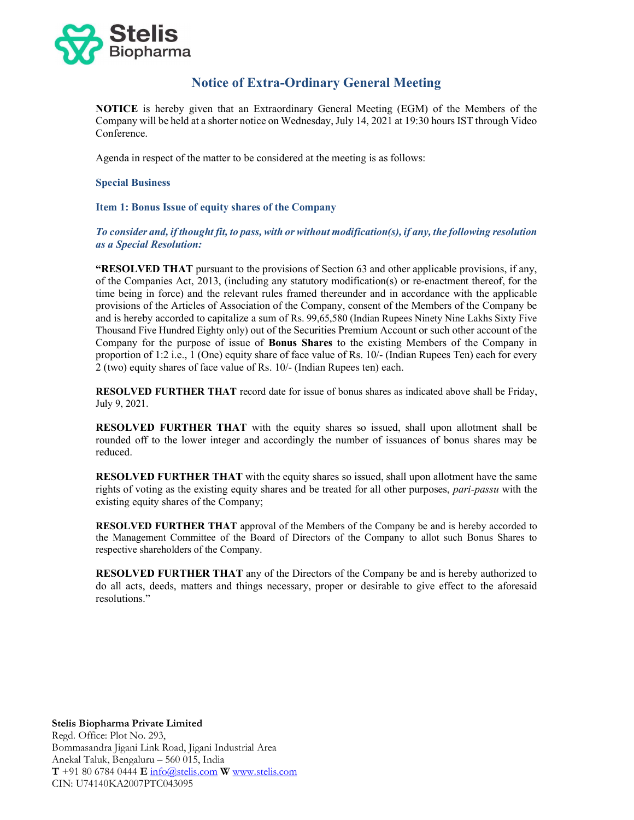

# Notice of Extra-Ordinary General Meeting

NOTICE is hereby given that an Extraordinary General Meeting (EGM) of the Members of the Company will be held at a shorter notice on Wednesday, July 14, 2021 at 19:30 hours IST through Video Conference.

Agenda in respect of the matter to be considered at the meeting is as follows:

#### Special Business

## Item 1: Bonus Issue of equity shares of the Company

## To consider and, if thought fit, to pass, with or without modification(s), if any, the following resolution as a Special Resolution:

"RESOLVED THAT pursuant to the provisions of Section 63 and other applicable provisions, if any, of the Companies Act, 2013, (including any statutory modification(s) or re-enactment thereof, for the time being in force) and the relevant rules framed thereunder and in accordance with the applicable provisions of the Articles of Association of the Company, consent of the Members of the Company be and is hereby accorded to capitalize a sum of Rs. 99,65,580 (Indian Rupees Ninety Nine Lakhs Sixty Five Thousand Five Hundred Eighty only) out of the Securities Premium Account or such other account of the Company for the purpose of issue of Bonus Shares to the existing Members of the Company in proportion of 1:2 i.e., 1 (One) equity share of face value of Rs. 10/- (Indian Rupees Ten) each for every 2 (two) equity shares of face value of Rs. 10/- (Indian Rupees ten) each.

RESOLVED FURTHER THAT record date for issue of bonus shares as indicated above shall be Friday, July 9, 2021.

RESOLVED FURTHER THAT with the equity shares so issued, shall upon allotment shall be rounded off to the lower integer and accordingly the number of issuances of bonus shares may be reduced.

RESOLVED FURTHER THAT with the equity shares so issued, shall upon allotment have the same rights of voting as the existing equity shares and be treated for all other purposes, pari-passu with the existing equity shares of the Company;

RESOLVED FURTHER THAT approval of the Members of the Company be and is hereby accorded to the Management Committee of the Board of Directors of the Company to allot such Bonus Shares to respective shareholders of the Company.

RESOLVED FURTHER THAT any of the Directors of the Company be and is hereby authorized to do all acts, deeds, matters and things necessary, proper or desirable to give effect to the aforesaid resolutions."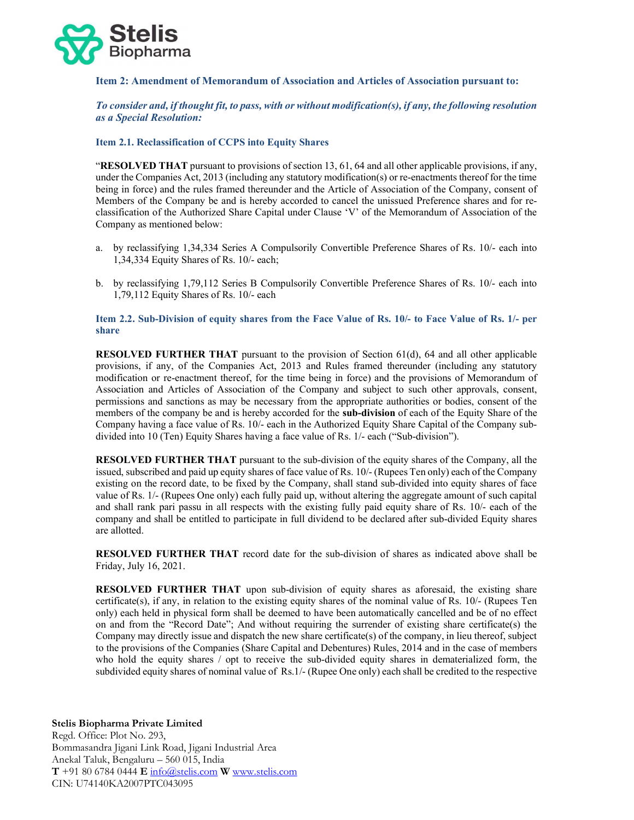

#### Item 2: Amendment of Memorandum of Association and Articles of Association pursuant to:

To consider and, if thought fit, to pass, with or without modification(s), if any, the following resolution as a Special Resolution:

#### Item 2.1. Reclassification of CCPS into Equity Shares

"RESOLVED THAT pursuant to provisions of section 13, 61, 64 and all other applicable provisions, if any, under the Companies Act, 2013 (including any statutory modification(s) or re-enactments thereof for the time being in force) and the rules framed thereunder and the Article of Association of the Company, consent of Members of the Company be and is hereby accorded to cancel the unissued Preference shares and for reclassification of the Authorized Share Capital under Clause 'V' of the Memorandum of Association of the Company as mentioned below:

- a. by reclassifying 1,34,334 Series A Compulsorily Convertible Preference Shares of Rs. 10/- each into 1,34,334 Equity Shares of Rs. 10/- each;
- b. by reclassifying 1,79,112 Series B Compulsorily Convertible Preference Shares of Rs. 10/- each into 1,79,112 Equity Shares of Rs. 10/- each

#### Item 2.2. Sub-Division of equity shares from the Face Value of Rs. 10/- to Face Value of Rs. 1/- per share

RESOLVED FURTHER THAT pursuant to the provision of Section 61(d), 64 and all other applicable provisions, if any, of the Companies Act, 2013 and Rules framed thereunder (including any statutory modification or re-enactment thereof, for the time being in force) and the provisions of Memorandum of Association and Articles of Association of the Company and subject to such other approvals, consent, permissions and sanctions as may be necessary from the appropriate authorities or bodies, consent of the members of the company be and is hereby accorded for the sub-division of each of the Equity Share of the Company having a face value of Rs. 10/- each in the Authorized Equity Share Capital of the Company subdivided into 10 (Ten) Equity Shares having a face value of Rs. 1/- each ("Sub-division").

RESOLVED FURTHER THAT pursuant to the sub-division of the equity shares of the Company, all the issued, subscribed and paid up equity shares of face value of Rs. 10/- (Rupees Ten only) each of the Company existing on the record date, to be fixed by the Company, shall stand sub-divided into equity shares of face value of Rs. 1/- (Rupees One only) each fully paid up, without altering the aggregate amount of such capital and shall rank pari passu in all respects with the existing fully paid equity share of Rs. 10/- each of the company and shall be entitled to participate in full dividend to be declared after sub-divided Equity shares are allotted.

RESOLVED FURTHER THAT record date for the sub-division of shares as indicated above shall be Friday, July 16, 2021.

RESOLVED FURTHER THAT upon sub-division of equity shares as aforesaid, the existing share certificate(s), if any, in relation to the existing equity shares of the nominal value of Rs. 10/- (Rupees Ten only) each held in physical form shall be deemed to have been automatically cancelled and be of no effect on and from the "Record Date"; And without requiring the surrender of existing share certificate(s) the Company may directly issue and dispatch the new share certificate(s) of the company, in lieu thereof, subject to the provisions of the Companies (Share Capital and Debentures) Rules, 2014 and in the case of members who hold the equity shares / opt to receive the sub-divided equity shares in dematerialized form, the subdivided equity shares of nominal value of Rs.1/- (Rupee One only) each shall be credited to the respective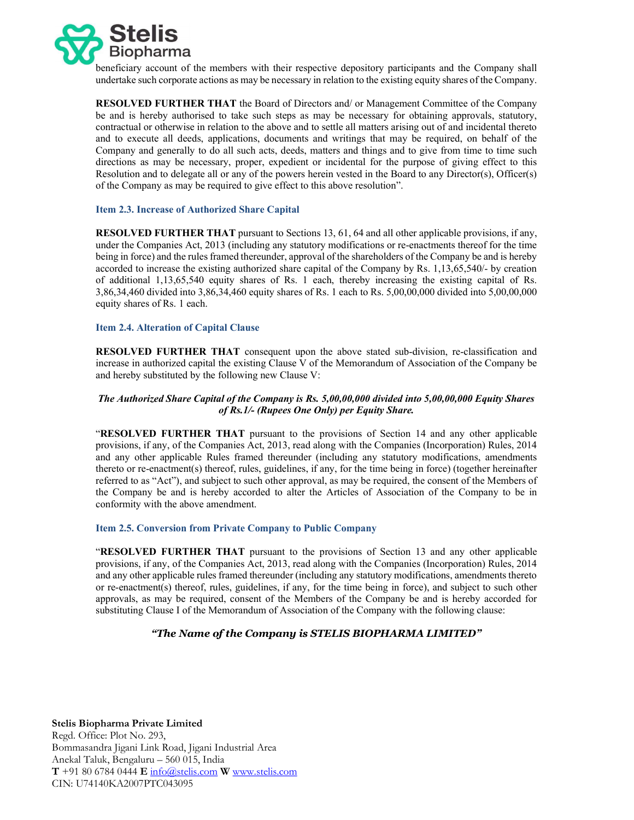

beneficiary account of the members with their respective depository participants and the Company shall undertake such corporate actions as may be necessary in relation to the existing equity shares of the Company.

RESOLVED FURTHER THAT the Board of Directors and/ or Management Committee of the Company be and is hereby authorised to take such steps as may be necessary for obtaining approvals, statutory, contractual or otherwise in relation to the above and to settle all matters arising out of and incidental thereto and to execute all deeds, applications, documents and writings that may be required, on behalf of the Company and generally to do all such acts, deeds, matters and things and to give from time to time such directions as may be necessary, proper, expedient or incidental for the purpose of giving effect to this Resolution and to delegate all or any of the powers herein vested in the Board to any Director(s), Officer(s) of the Company as may be required to give effect to this above resolution".

#### Item 2.3. Increase of Authorized Share Capital

RESOLVED FURTHER THAT pursuant to Sections 13, 61, 64 and all other applicable provisions, if any, under the Companies Act, 2013 (including any statutory modifications or re-enactments thereof for the time being in force) and the rules framed thereunder, approval of the shareholders of the Company be and is hereby accorded to increase the existing authorized share capital of the Company by Rs. 1,13,65,540/- by creation of additional 1,13,65,540 equity shares of Rs. 1 each, thereby increasing the existing capital of Rs. 3,86,34,460 divided into 3,86,34,460 equity shares of Rs. 1 each to Rs. 5,00,00,000 divided into 5,00,00,000 equity shares of Rs. 1 each.

#### Item 2.4. Alteration of Capital Clause

RESOLVED FURTHER THAT consequent upon the above stated sub-division, re-classification and increase in authorized capital the existing Clause V of the Memorandum of Association of the Company be and hereby substituted by the following new Clause V:

## The Authorized Share Capital of the Company is Rs. 5,00,00,000 divided into 5,00,00,000 Equity Shares of Rs.1/- (Rupees One Only) per Equity Share.

"RESOLVED FURTHER THAT pursuant to the provisions of Section 14 and any other applicable provisions, if any, of the Companies Act, 2013, read along with the Companies (Incorporation) Rules, 2014 and any other applicable Rules framed thereunder (including any statutory modifications, amendments thereto or re-enactment(s) thereof, rules, guidelines, if any, for the time being in force) (together hereinafter referred to as "Act"), and subject to such other approval, as may be required, the consent of the Members of the Company be and is hereby accorded to alter the Articles of Association of the Company to be in conformity with the above amendment.

## Item 2.5. Conversion from Private Company to Public Company

"RESOLVED FURTHER THAT pursuant to the provisions of Section 13 and any other applicable provisions, if any, of the Companies Act, 2013, read along with the Companies (Incorporation) Rules, 2014 and any other applicable rules framed thereunder (including any statutory modifications, amendments thereto or re-enactment(s) thereof, rules, guidelines, if any, for the time being in force), and subject to such other approvals, as may be required, consent of the Members of the Company be and is hereby accorded for substituting Clause I of the Memorandum of Association of the Company with the following clause:

## "The Name of the Company is STELIS BIOPHARMA LIMITED"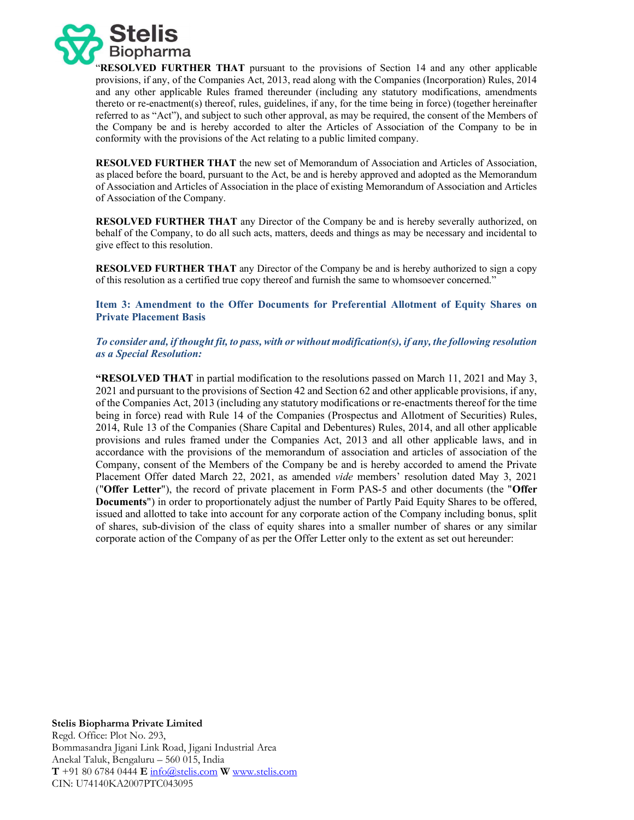

"RESOLVED FURTHER THAT pursuant to the provisions of Section 14 and any other applicable provisions, if any, of the Companies Act, 2013, read along with the Companies (Incorporation) Rules, 2014 and any other applicable Rules framed thereunder (including any statutory modifications, amendments thereto or re-enactment(s) thereof, rules, guidelines, if any, for the time being in force) (together hereinafter referred to as "Act"), and subject to such other approval, as may be required, the consent of the Members of the Company be and is hereby accorded to alter the Articles of Association of the Company to be in conformity with the provisions of the Act relating to a public limited company.

RESOLVED FURTHER THAT the new set of Memorandum of Association and Articles of Association, as placed before the board, pursuant to the Act, be and is hereby approved and adopted as the Memorandum of Association and Articles of Association in the place of existing Memorandum of Association and Articles of Association of the Company.

RESOLVED FURTHER THAT any Director of the Company be and is hereby severally authorized, on behalf of the Company, to do all such acts, matters, deeds and things as may be necessary and incidental to give effect to this resolution.

RESOLVED FURTHER THAT any Director of the Company be and is hereby authorized to sign a copy of this resolution as a certified true copy thereof and furnish the same to whomsoever concerned."

Item 3: Amendment to the Offer Documents for Preferential Allotment of Equity Shares on Private Placement Basis

To consider and, if thought fit, to pass, with or without modification(s), if any, the following resolution as a Special Resolution:

"RESOLVED THAT in partial modification to the resolutions passed on March 11, 2021 and May 3, 2021 and pursuant to the provisions of Section 42 and Section 62 and other applicable provisions, if any, of the Companies Act, 2013 (including any statutory modifications or re-enactments thereof for the time being in force) read with Rule 14 of the Companies (Prospectus and Allotment of Securities) Rules, 2014, Rule 13 of the Companies (Share Capital and Debentures) Rules, 2014, and all other applicable provisions and rules framed under the Companies Act, 2013 and all other applicable laws, and in accordance with the provisions of the memorandum of association and articles of association of the Company, consent of the Members of the Company be and is hereby accorded to amend the Private Placement Offer dated March 22, 2021, as amended vide members' resolution dated May 3, 2021 ("Offer Letter"), the record of private placement in Form PAS-5 and other documents (the "Offer Documents") in order to proportionately adjust the number of Partly Paid Equity Shares to be offered, issued and allotted to take into account for any corporate action of the Company including bonus, split of shares, sub-division of the class of equity shares into a smaller number of shares or any similar corporate action of the Company of as per the Offer Letter only to the extent as set out hereunder: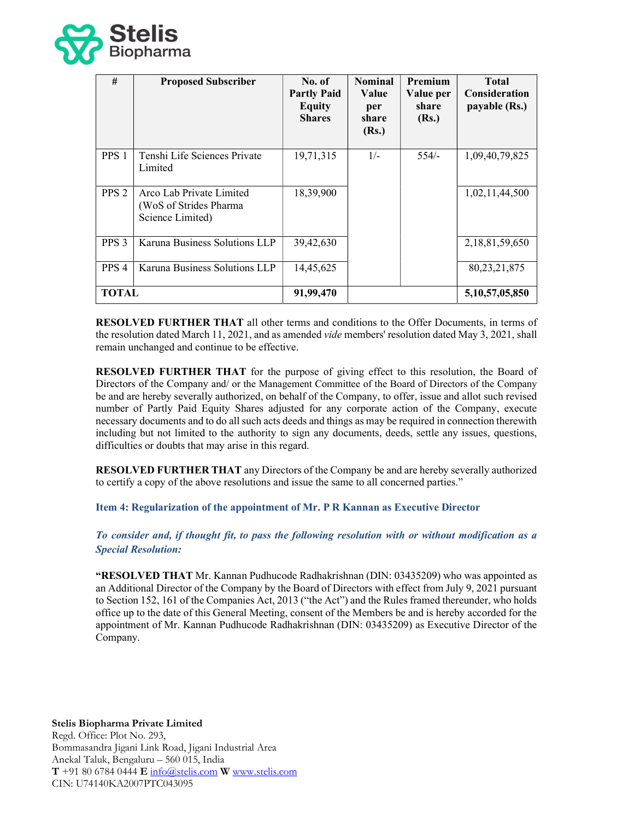

| #                | <b>Proposed Subscriber</b>                                              | No. of<br><b>Partly Paid</b><br><b>Equity</b><br><b>Shares</b> | <b>Nominal</b><br>Value<br>per<br>share<br>(Rs.) | <b>Premium</b><br>Value per<br>share<br>(Rs.) | <b>Total</b><br><b>Consideration</b><br>payable (Rs.) |
|------------------|-------------------------------------------------------------------------|----------------------------------------------------------------|--------------------------------------------------|-----------------------------------------------|-------------------------------------------------------|
| PPS <sub>1</sub> | Tenshi Life Sciences Private<br>Limited                                 | 19,71,315                                                      | $1/-$                                            | $554/-$                                       | 1,09,40,79,825                                        |
| PPS <sub>2</sub> | Arco Lab Private Limited<br>(WoS of Strides Pharma)<br>Science Limited) | 18,39,900                                                      |                                                  |                                               | 1,02,11,44,500                                        |
| PPS <sub>3</sub> | Karuna Business Solutions LLP                                           | 39,42,630                                                      |                                                  |                                               | 2,18,81,59,650                                        |
| PPS <sub>4</sub> | Karuna Business Solutions LLP                                           | 14,45,625                                                      |                                                  |                                               | 80, 23, 21, 875                                       |
| <b>TOTAL</b>     |                                                                         | 91,99,470                                                      |                                                  |                                               | 5, 10, 57, 05, 850                                    |

RESOLVED FURTHER THAT all other terms and conditions to the Offer Documents, in terms of the resolution dated March 11, 2021, and as amended *vide* members' resolution dated May 3, 2021, shall remain unchanged and continue to be effective.

RESOLVED FURTHER THAT for the purpose of giving effect to this resolution, the Board of Directors of the Company and/ or the Management Committee of the Board of Directors of the Company be and are hereby severally authorized, on behalf of the Company, to offer, issue and allot such revised number of Partly Paid Equity Shares adjusted for any corporate action of the Company, execute necessary documents and to do all such acts deeds and things as may be required in connection therewith including but not limited to the authority to sign any documents, deeds, settle any issues, questions, difficulties or doubts that may arise in this regard.

RESOLVED FURTHER THAT any Directors of the Company be and are hereby severally authorized to certify a copy of the above resolutions and issue the same to all concerned parties."

Item 4: Regularization of the appointment of Mr. P R Kannan as Executive Director

To consider and, if thought fit, to pass the following resolution with or without modification as a Special Resolution:

"RESOLVED THAT Mr. Kannan Pudhucode Radhakrishnan (DIN: 03435209) who was appointed as an Additional Director of the Company by the Board of Directors with effect from July 9, 2021 pursuant to Section 152, 161 of the Companies Act, 2013 ("the Act") and the Rules framed thereunder, who holds office up to the date of this General Meeting, consent of the Members be and is hereby accorded for the appointment of Mr. Kannan Pudhucode Radhakrishnan (DIN: 03435209) as Executive Director of the Company.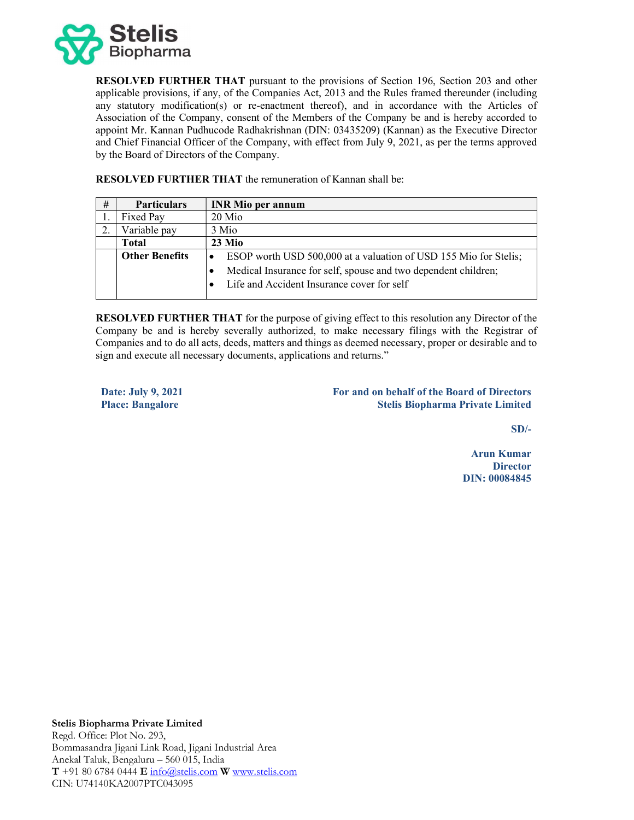

RESOLVED FURTHER THAT pursuant to the provisions of Section 196, Section 203 and other applicable provisions, if any, of the Companies Act, 2013 and the Rules framed thereunder (including any statutory modification(s) or re-enactment thereof), and in accordance with the Articles of Association of the Company, consent of the Members of the Company be and is hereby accorded to appoint Mr. Kannan Pudhucode Radhakrishnan (DIN: 03435209) (Kannan) as the Executive Director and Chief Financial Officer of the Company, with effect from July 9, 2021, as per the terms approved by the Board of Directors of the Company.

| # | <b>Particulars</b>    | <b>INR Mio per annum</b>                                                    |
|---|-----------------------|-----------------------------------------------------------------------------|
|   | Fixed Pay             | 20 Mio                                                                      |
|   | Variable pay          | 3 Mio                                                                       |
|   | <b>Total</b>          | $23$ Mio                                                                    |
|   | <b>Other Benefits</b> | ESOP worth USD 500,000 at a valuation of USD 155 Mio for Stelis;            |
|   |                       | Medical Insurance for self, spouse and two dependent children;<br>$\bullet$ |
|   |                       | Life and Accident Insurance cover for self                                  |
|   |                       |                                                                             |

RESOLVED FURTHER THAT the remuneration of Kannan shall be:

RESOLVED FURTHER THAT for the purpose of giving effect to this resolution any Director of the Company be and is hereby severally authorized, to make necessary filings with the Registrar of Companies and to do all acts, deeds, matters and things as deemed necessary, proper or desirable and to sign and execute all necessary documents, applications and returns."

Date: July 9, 2021 Place: Bangalore

For and on behalf of the Board of Directors Stelis Biopharma Private Limited

SD/-

Arun Kumar **Director** DIN: 00084845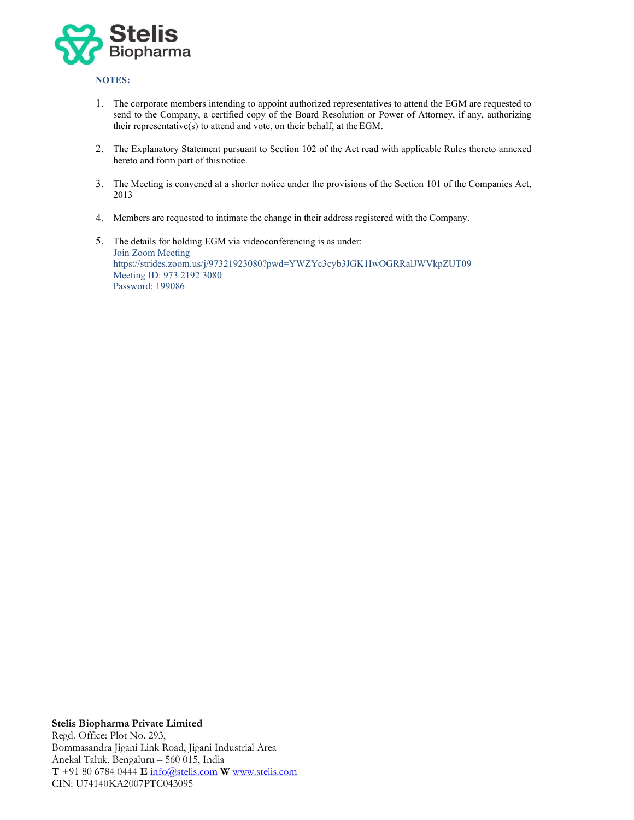

# NOTES:

- 1. The corporate members intending to appoint authorized representatives to attend the EGM are requested to send to the Company, a certified copy of the Board Resolution or Power of Attorney, if any, authorizing their representative(s) to attend and vote, on their behalf, at the EGM.
- 2. The Explanatory Statement pursuant to Section 102 of the Act read with applicable Rules thereto annexed hereto and form part of this notice.
- 3. The Meeting is convened at a shorter notice under the provisions of the Section 101 of the Companies Act, 2013
- 4. Members are requested to intimate the change in their address registered with the Company.
- 5. The details for holding EGM via videoconferencing is as under: Join Zoom Meeting https://strides.zoom.us/j/97321923080?pwd=YWZYc3cyb3JGK1IwOGRRalJWVkpZUT09 Meeting ID: 973 2192 3080 Password: 199086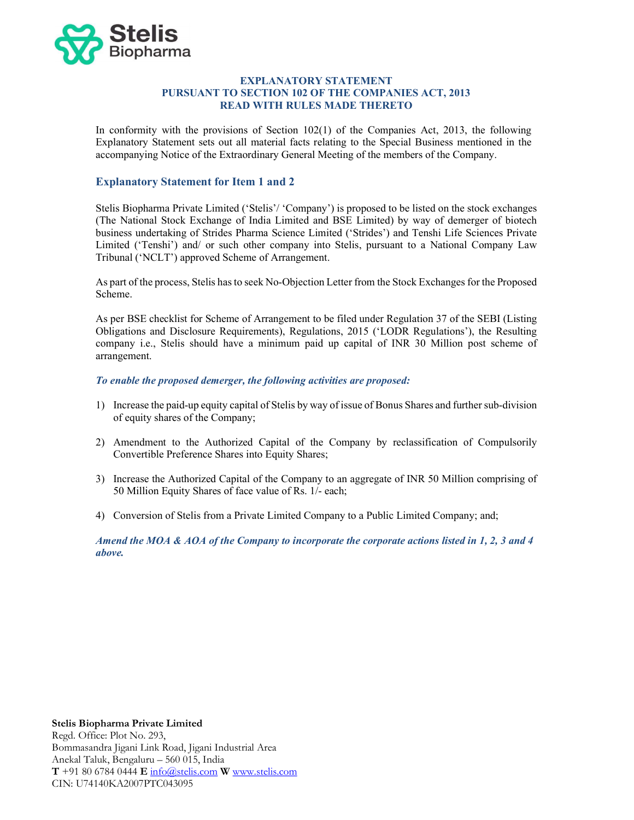

#### EXPLANATORY STATEMENT PURSUANT TO SECTION 102 OF THE COMPANIES ACT, 2013 READ WITH RULES MADE THERETO

In conformity with the provisions of Section 102(1) of the Companies Act, 2013, the following Explanatory Statement sets out all material facts relating to the Special Business mentioned in the accompanying Notice of the Extraordinary General Meeting of the members of the Company.

# Explanatory Statement for Item 1 and 2

Stelis Biopharma Private Limited ('Stelis'/ 'Company') is proposed to be listed on the stock exchanges (The National Stock Exchange of India Limited and BSE Limited) by way of demerger of biotech business undertaking of Strides Pharma Science Limited ('Strides') and Tenshi Life Sciences Private Limited ('Tenshi') and/ or such other company into Stelis, pursuant to a National Company Law Tribunal ('NCLT') approved Scheme of Arrangement.

As part of the process, Stelis has to seek No-Objection Letter from the Stock Exchanges for the Proposed Scheme.

As per BSE checklist for Scheme of Arrangement to be filed under Regulation 37 of the SEBI (Listing Obligations and Disclosure Requirements), Regulations, 2015 ('LODR Regulations'), the Resulting company i.e., Stelis should have a minimum paid up capital of INR 30 Million post scheme of arrangement.

#### To enable the proposed demerger, the following activities are proposed:

- 1) Increase the paid-up equity capital of Stelis by way of issue of Bonus Shares and further sub-division of equity shares of the Company;
- 2) Amendment to the Authorized Capital of the Company by reclassification of Compulsorily Convertible Preference Shares into Equity Shares;
- 3) Increase the Authorized Capital of the Company to an aggregate of INR 50 Million comprising of 50 Million Equity Shares of face value of Rs. 1/- each;
- 4) Conversion of Stelis from a Private Limited Company to a Public Limited Company; and;

Amend the MOA & AOA of the Company to incorporate the corporate actions listed in 1, 2, 3 and 4 above.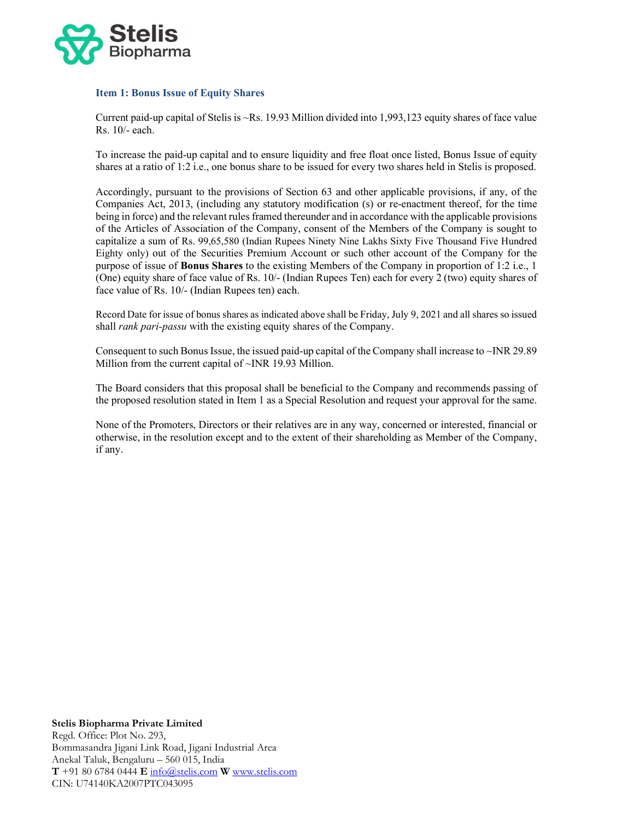

## Item 1: Bonus Issue of Equity Shares

Current paid-up capital of Stelis is ~Rs. 19.93 Million divided into 1,993,123 equity shares of face value Rs. 10/- each.

To increase the paid-up capital and to ensure liquidity and free float once listed, Bonus Issue of equity shares at a ratio of 1:2 i.e., one bonus share to be issued for every two shares held in Stelis is proposed.

Accordingly, pursuant to the provisions of Section 63 and other applicable provisions, if any, of the Companies Act, 2013, (including any statutory modification (s) or re-enactment thereof, for the time being in force) and the relevant rules framed thereunder and in accordance with the applicable provisions of the Articles of Association of the Company, consent of the Members of the Company is sought to capitalize a sum of Rs. 99,65,580 (Indian Rupees Ninety Nine Lakhs Sixty Five Thousand Five Hundred Eighty only) out of the Securities Premium Account or such other account of the Company for the purpose of issue of Bonus Shares to the existing Members of the Company in proportion of 1:2 i.e., 1 (One) equity share of face value of Rs. 10/- (Indian Rupees Ten) each for every 2 (two) equity shares of face value of Rs. 10/- (Indian Rupees ten) each.

Record Date for issue of bonus shares as indicated above shall be Friday, July 9, 2021 and all shares so issued shall *rank pari-passu* with the existing equity shares of the Company.

Consequent to such Bonus Issue, the issued paid-up capital of the Company shall increase to ~INR 29.89 Million from the current capital of ~INR 19.93 Million.

The Board considers that this proposal shall be beneficial to the Company and recommends passing of the proposed resolution stated in Item 1 as a Special Resolution and request your approval for the same.

None of the Promoters, Directors or their relatives are in any way, concerned or interested, financial or otherwise, in the resolution except and to the extent of their shareholding as Member of the Company, if any.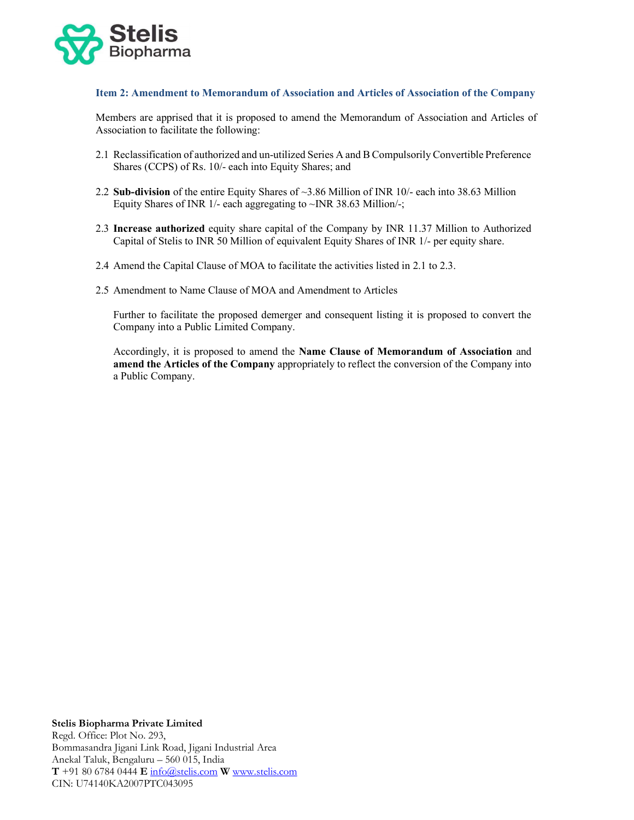

#### Item 2: Amendment to Memorandum of Association and Articles of Association of the Company

Members are apprised that it is proposed to amend the Memorandum of Association and Articles of Association to facilitate the following:

- 2.1 Reclassification of authorized and un-utilized Series A and B Compulsorily Convertible Preference Shares (CCPS) of Rs. 10/- each into Equity Shares; and
- 2.2 Sub-division of the entire Equity Shares of ~3.86 Million of INR 10/- each into 38.63 Million Equity Shares of INR  $1/-$  each aggregating to  $~\sim$  INR 38.63 Million/-;
- 2.3 Increase authorized equity share capital of the Company by INR 11.37 Million to Authorized Capital of Stelis to INR 50 Million of equivalent Equity Shares of INR 1/- per equity share.
- 2.4 Amend the Capital Clause of MOA to facilitate the activities listed in 2.1 to 2.3.
- 2.5 Amendment to Name Clause of MOA and Amendment to Articles

Further to facilitate the proposed demerger and consequent listing it is proposed to convert the Company into a Public Limited Company.

Accordingly, it is proposed to amend the Name Clause of Memorandum of Association and amend the Articles of the Company appropriately to reflect the conversion of the Company into a Public Company.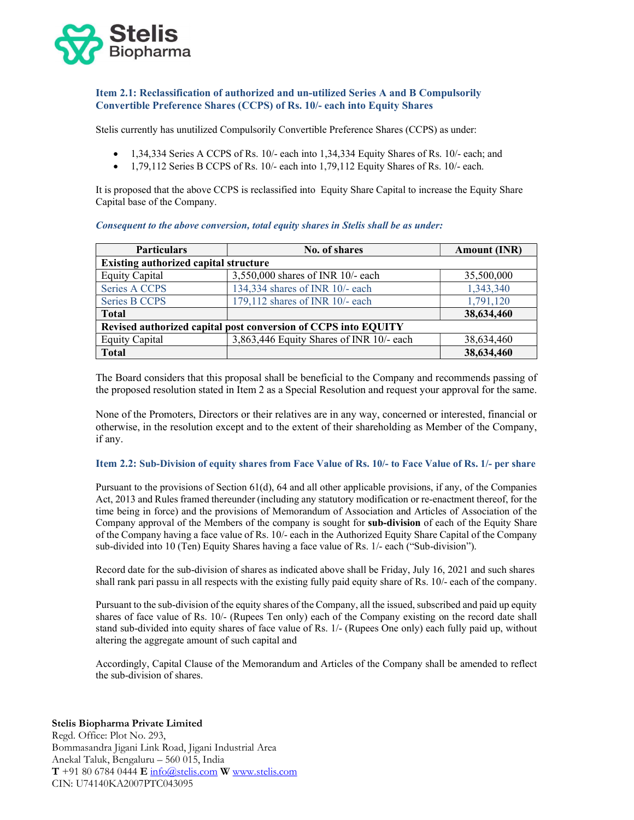

## Item 2.1: Reclassification of authorized and un-utilized Series A and B Compulsorily Convertible Preference Shares (CCPS) of Rs. 10/- each into Equity Shares

Stelis currently has unutilized Compulsorily Convertible Preference Shares (CCPS) as under:

- 1,34,334 Series A CCPS of Rs. 10/- each into 1,34,334 Equity Shares of Rs. 10/- each; and
- $\bullet$  1,79,112 Series B CCPS of Rs. 10/- each into 1,79,112 Equity Shares of Rs. 10/- each.

It is proposed that the above CCPS is reclassified into Equity Share Capital to increase the Equity Share Capital base of the Company.

| <b>Particulars</b>                                             | No. of shares                            | <b>Amount (INR)</b> |  |  |
|----------------------------------------------------------------|------------------------------------------|---------------------|--|--|
| <b>Existing authorized capital structure</b>                   |                                          |                     |  |  |
| <b>Equity Capital</b>                                          | 3,550,000 shares of INR 10/- each        | 35,500,000          |  |  |
| <b>Series A CCPS</b>                                           | 134,334 shares of INR 10/- each          | 1,343,340           |  |  |
| <b>Series B CCPS</b>                                           | 179,112 shares of INR 10/- each          | 1,791,120           |  |  |
| <b>Total</b>                                                   |                                          | 38,634,460          |  |  |
| Revised authorized capital post conversion of CCPS into EQUITY |                                          |                     |  |  |
| <b>Equity Capital</b>                                          | 3,863,446 Equity Shares of INR 10/- each | 38,634,460          |  |  |
| <b>Total</b>                                                   |                                          | 38,634,460          |  |  |

Consequent to the above conversion, total equity shares in Stelis shall be as under:

The Board considers that this proposal shall be beneficial to the Company and recommends passing of the proposed resolution stated in Item 2 as a Special Resolution and request your approval for the same.

None of the Promoters, Directors or their relatives are in any way, concerned or interested, financial or otherwise, in the resolution except and to the extent of their shareholding as Member of the Company, if any.

#### Item 2.2: Sub-Division of equity shares from Face Value of Rs. 10/- to Face Value of Rs. 1/- per share

Pursuant to the provisions of Section 61(d), 64 and all other applicable provisions, if any, of the Companies Act, 2013 and Rules framed thereunder (including any statutory modification or re-enactment thereof, for the time being in force) and the provisions of Memorandum of Association and Articles of Association of the Company approval of the Members of the company is sought for sub-division of each of the Equity Share of the Company having a face value of Rs. 10/- each in the Authorized Equity Share Capital of the Company sub-divided into 10 (Ten) Equity Shares having a face value of Rs. 1/- each ("Sub-division").

Record date for the sub-division of shares as indicated above shall be Friday, July 16, 2021 and such shares shall rank pari passu in all respects with the existing fully paid equity share of Rs. 10/- each of the company.

Pursuant to the sub-division of the equity shares of the Company, all the issued, subscribed and paid up equity shares of face value of Rs. 10/- (Rupees Ten only) each of the Company existing on the record date shall stand sub-divided into equity shares of face value of Rs. 1/- (Rupees One only) each fully paid up, without altering the aggregate amount of such capital and

Accordingly, Capital Clause of the Memorandum and Articles of the Company shall be amended to reflect the sub-division of shares.

# Stelis Biopharma Private Limited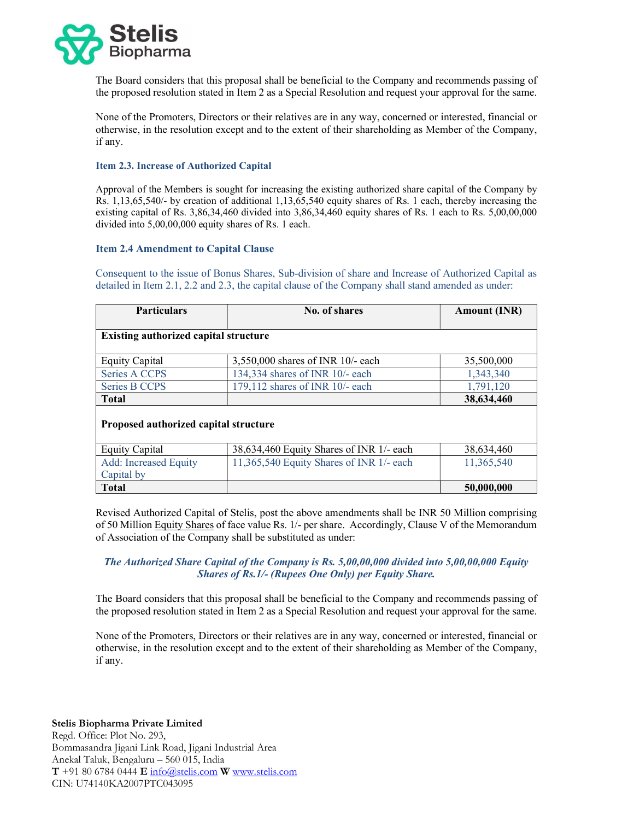

The Board considers that this proposal shall be beneficial to the Company and recommends passing of the proposed resolution stated in Item 2 as a Special Resolution and request your approval for the same.

None of the Promoters, Directors or their relatives are in any way, concerned or interested, financial or otherwise, in the resolution except and to the extent of their shareholding as Member of the Company, if any.

## Item 2.3. Increase of Authorized Capital

Approval of the Members is sought for increasing the existing authorized share capital of the Company by Rs. 1,13,65,540/- by creation of additional 1,13,65,540 equity shares of Rs. 1 each, thereby increasing the existing capital of Rs. 3,86,34,460 divided into 3,86,34,460 equity shares of Rs. 1 each to Rs. 5,00,00,000 divided into 5,00,00,000 equity shares of Rs. 1 each.

## Item 2.4 Amendment to Capital Clause

Consequent to the issue of Bonus Shares, Sub-division of share and Increase of Authorized Capital as detailed in Item 2.1, 2.2 and 2.3, the capital clause of the Company shall stand amended as under:

| <b>Particulars</b>                           | No. of shares                            | <b>Amount (INR)</b> |  |  |
|----------------------------------------------|------------------------------------------|---------------------|--|--|
| <b>Existing authorized capital structure</b> |                                          |                     |  |  |
| <b>Equity Capital</b>                        | 3,550,000 shares of INR 10/- each        | 35,500,000          |  |  |
| Series A CCPS                                | 134,334 shares of INR 10/- each          | 1,343,340           |  |  |
| <b>Series B CCPS</b>                         | 179,112 shares of INR 10/- each          | 1,791,120           |  |  |
| <b>Total</b>                                 |                                          | 38,634,460          |  |  |
| Proposed authorized capital structure        |                                          |                     |  |  |
| <b>Equity Capital</b>                        | 38,634,460 Equity Shares of INR 1/- each | 38,634,460          |  |  |
| <b>Add:</b> Increased Equity<br>Capital by   | 11,365,540 Equity Shares of INR 1/- each | 11,365,540          |  |  |
| <b>Total</b>                                 |                                          | 50,000,000          |  |  |

Revised Authorized Capital of Stelis, post the above amendments shall be INR 50 Million comprising of 50 Million Equity Shares of face value Rs. 1/- per share. Accordingly, Clause V of the Memorandum of Association of the Company shall be substituted as under:

# The Authorized Share Capital of the Company is Rs. 5,00,00,000 divided into 5,00,00,000 Equity Shares of Rs.1/- (Rupees One Only) per Equity Share.

The Board considers that this proposal shall be beneficial to the Company and recommends passing of the proposed resolution stated in Item 2 as a Special Resolution and request your approval for the same.

None of the Promoters, Directors or their relatives are in any way, concerned or interested, financial or otherwise, in the resolution except and to the extent of their shareholding as Member of the Company, if any.

# Stelis Biopharma Private Limited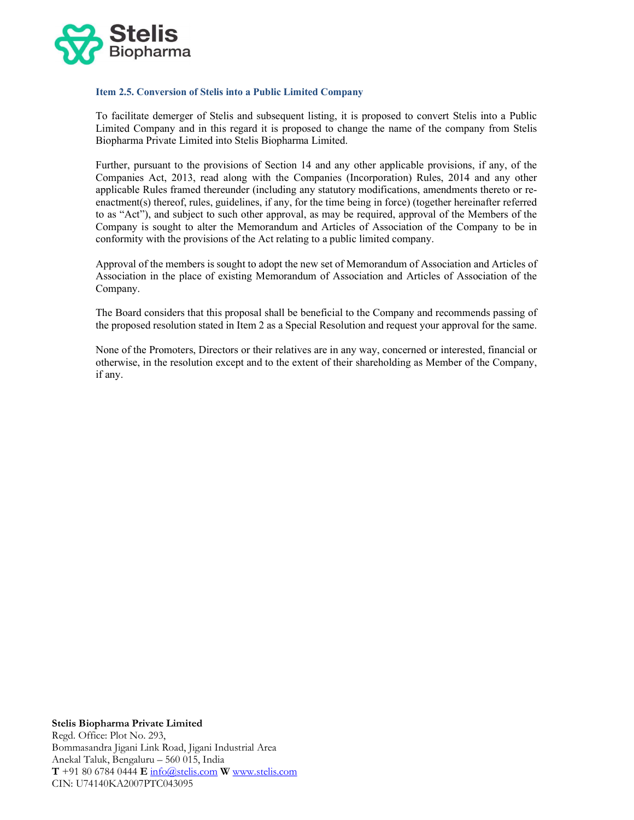

#### Item 2.5. Conversion of Stelis into a Public Limited Company

To facilitate demerger of Stelis and subsequent listing, it is proposed to convert Stelis into a Public Limited Company and in this regard it is proposed to change the name of the company from Stelis Biopharma Private Limited into Stelis Biopharma Limited.

Further, pursuant to the provisions of Section 14 and any other applicable provisions, if any, of the Companies Act, 2013, read along with the Companies (Incorporation) Rules, 2014 and any other applicable Rules framed thereunder (including any statutory modifications, amendments thereto or reenactment(s) thereof, rules, guidelines, if any, for the time being in force) (together hereinafter referred to as "Act"), and subject to such other approval, as may be required, approval of the Members of the Company is sought to alter the Memorandum and Articles of Association of the Company to be in conformity with the provisions of the Act relating to a public limited company.

Approval of the members is sought to adopt the new set of Memorandum of Association and Articles of Association in the place of existing Memorandum of Association and Articles of Association of the Company.

The Board considers that this proposal shall be beneficial to the Company and recommends passing of the proposed resolution stated in Item 2 as a Special Resolution and request your approval for the same.

None of the Promoters, Directors or their relatives are in any way, concerned or interested, financial or otherwise, in the resolution except and to the extent of their shareholding as Member of the Company, if any.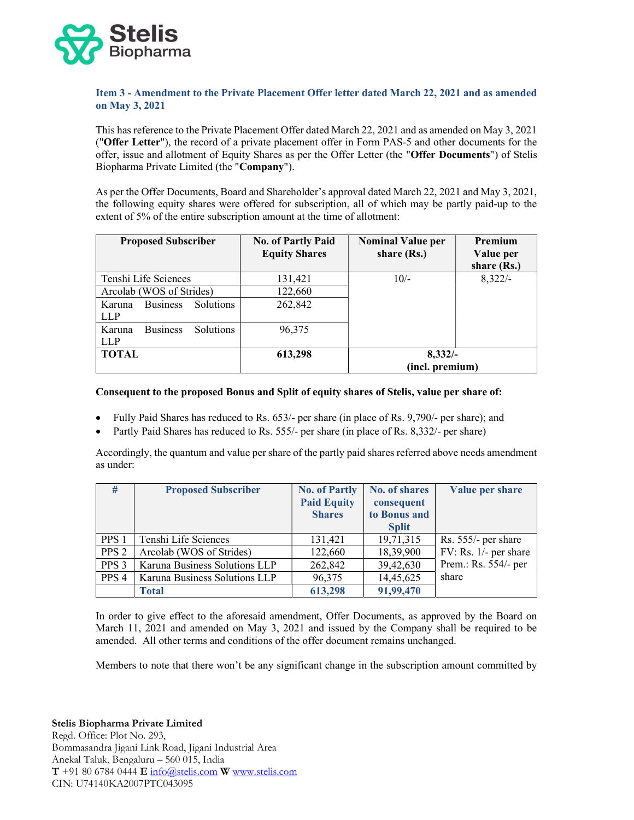

## Item 3 - Amendment to the Private Placement Offer letter dated March 22, 2021 and as amended on May 3, 2021

This has reference to the Private Placement Offer dated March 22, 2021 and as amended on May 3, 2021 ("Offer Letter"), the record of a private placement offer in Form PAS-5 and other documents for the offer, issue and allotment of Equity Shares as per the Offer Letter (the "Offer Documents") of Stelis Biopharma Private Limited (the "Company").

As per the Offer Documents, Board and Shareholder's approval dated March 22, 2021 and May 3, 2021, the following equity shares were offered for subscription, all of which may be partly paid-up to the extent of 5% of the entire subscription amount at the time of allotment:

| <b>Proposed Subscriber</b>                    | <b>No. of Partly Paid</b><br><b>Equity Shares</b> | <b>Nominal Value per</b><br>share (Rs.) | <b>Premium</b><br>Value per<br>share (Rs.) |
|-----------------------------------------------|---------------------------------------------------|-----------------------------------------|--------------------------------------------|
| Tenshi Life Sciences                          | 131,421                                           | $10/-$                                  | $8,322/-$                                  |
| Arcolab (WOS of Strides)                      | 122,660                                           |                                         |                                            |
| Solutions<br><b>Business</b><br>Karuna        | 262,842                                           |                                         |                                            |
| <b>LLP</b>                                    |                                                   |                                         |                                            |
| <b>Business</b><br><b>Solutions</b><br>Karuna | 96,375                                            |                                         |                                            |
| <b>LLP</b>                                    |                                                   |                                         |                                            |
| <b>TOTAL</b>                                  | 613,298                                           | $8,332/-$                               |                                            |
|                                               |                                                   | (incl. premium)                         |                                            |

## Consequent to the proposed Bonus and Split of equity shares of Stelis, value per share of:

- Fully Paid Shares has reduced to Rs. 653/- per share (in place of Rs. 9,790/- per share); and
- Partly Paid Shares has reduced to Rs. 555/- per share (in place of Rs. 8,332/- per share)

Accordingly, the quantum and value per share of the partly paid shares referred above needs amendment as under:

| #                | <b>Proposed Subscriber</b>    | <b>No. of Partly</b> | <b>No. of shares</b> | Value per share       |
|------------------|-------------------------------|----------------------|----------------------|-----------------------|
|                  |                               | <b>Paid Equity</b>   | consequent           |                       |
|                  |                               | <b>Shares</b>        | to Bonus and         |                       |
|                  |                               |                      | <b>Split</b>         |                       |
| PPS 1            | Tenshi Life Sciences          | 131,421              | 19,71,315            | Rs. 555/- per share   |
| PPS <sub>2</sub> | Arcolab (WOS of Strides)      | 122,660              | 18,39,900            | FV: Rs. 1/- per share |
| PPS <sub>3</sub> | Karuna Business Solutions LLP | 262,842              | 39,42,630            | Prem.: Rs. 554/- per  |
| PPS <sub>4</sub> | Karuna Business Solutions LLP | 96,375               | 14,45,625            | share                 |
|                  | <b>Total</b>                  | 613,298              | 91,99,470            |                       |

In order to give effect to the aforesaid amendment, Offer Documents, as approved by the Board on March 11, 2021 and amended on May 3, 2021 and issued by the Company shall be required to be amended. All other terms and conditions of the offer document remains unchanged.

Members to note that there won't be any significant change in the subscription amount committed by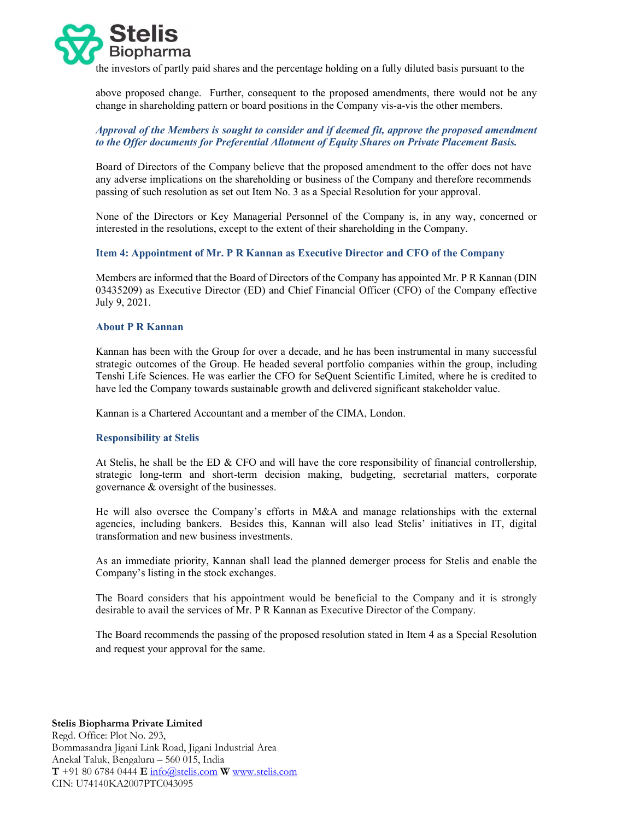

the investors of partly paid shares and the percentage holding on a fully diluted basis pursuant to the

above proposed change. Further, consequent to the proposed amendments, there would not be any change in shareholding pattern or board positions in the Company vis-a-vis the other members.

# Approval of the Members is sought to consider and if deemed fit, approve the proposed amendment to the Offer documents for Preferential Allotment of Equity Shares on Private Placement Basis.

Board of Directors of the Company believe that the proposed amendment to the offer does not have any adverse implications on the shareholding or business of the Company and therefore recommends passing of such resolution as set out Item No. 3 as a Special Resolution for your approval.

None of the Directors or Key Managerial Personnel of the Company is, in any way, concerned or interested in the resolutions, except to the extent of their shareholding in the Company.

## Item 4: Appointment of Mr. P R Kannan as Executive Director and CFO of the Company

Members are informed that the Board of Directors of the Company has appointed Mr. P R Kannan (DIN 03435209) as Executive Director (ED) and Chief Financial Officer (CFO) of the Company effective July 9, 2021.

#### About P R Kannan

Kannan has been with the Group for over a decade, and he has been instrumental in many successful strategic outcomes of the Group. He headed several portfolio companies within the group, including Tenshi Life Sciences. He was earlier the CFO for SeQuent Scientific Limited, where he is credited to have led the Company towards sustainable growth and delivered significant stakeholder value.

Kannan is a Chartered Accountant and a member of the CIMA, London.

## Responsibility at Stelis

At Stelis, he shall be the ED & CFO and will have the core responsibility of financial controllership, strategic long-term and short-term decision making, budgeting, secretarial matters, corporate governance & oversight of the businesses.

He will also oversee the Company's efforts in M&A and manage relationships with the external agencies, including bankers. Besides this, Kannan will also lead Stelis' initiatives in IT, digital transformation and new business investments.

As an immediate priority, Kannan shall lead the planned demerger process for Stelis and enable the Company's listing in the stock exchanges.

The Board considers that his appointment would be beneficial to the Company and it is strongly desirable to avail the services of Mr. P R Kannan as Executive Director of the Company.

The Board recommends the passing of the proposed resolution stated in Item 4 as a Special Resolution and request your approval for the same.